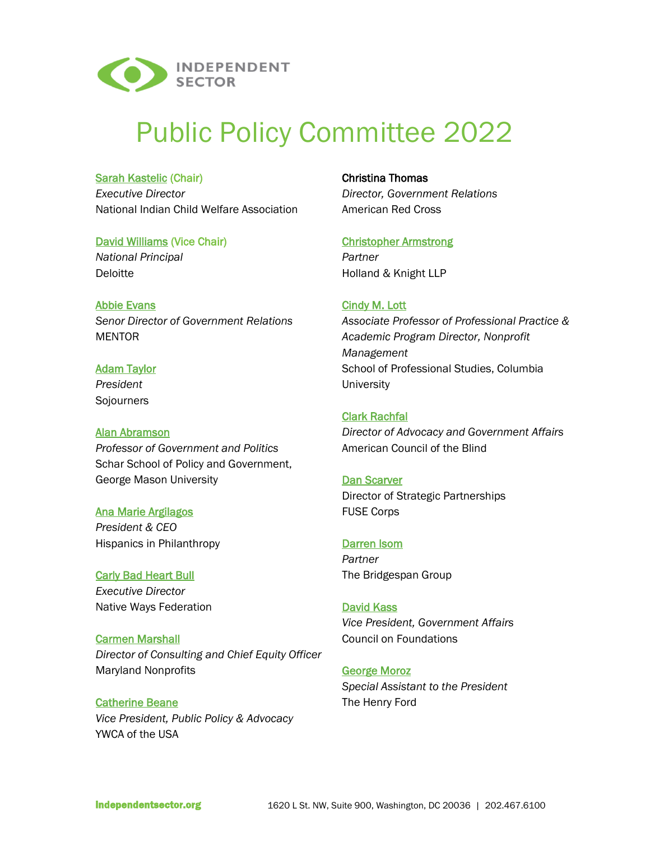

# Public Policy Committee 2022

# **[Sarah Kastelic](https://www.nicwa.org/sarah-kastelic/) (Chair)**

*Executive Director* National Indian Child Welfare Association

# [David Williams](https://www2.deloitte.com/us/en/profiles/davidswilliams.html) (Vice Chair)

*National Principal* Deloitte

[Abbie Evans](https://www.mentoring.org/senior-leadership-and-staff/) *Senor Director of Government Relations* MENTOR

# [Adam Taylor](https://sojo.net/biography/adam-russell-taylor) *President*

**Sojourners** 

# [Alan Abramson](https://schar.gmu.edu/profiles/aabramso)

*Professor of Government and Politics* Schar School of Policy and Government, George Mason University

# [Ana Marie Argilagos](https://hiponline.org/about/) *President & CEO* Hispanics in Philanthropy

[Carly Bad Heart Bull](https://www.nativeways.org/bod/carly-bad-heart-bull-bio/) *Executive Director* Native Ways Federation

[Carmen Marshall](https://www.marylandnonprofits.org/about-maryland-nonprofits/staff-and-board/carmen-marshall/) *Director of Consulting and Chief Equity Officer* Maryland Nonprofits

[Catherine Beane](https://www.ywca.org/about/staff/catherine-v-beane/) *Vice President, Public Policy & Advocacy* YWCA of the USA

Christina Thomas *Director, Government Relations* American Red Cross

# [Christopher Armstrong](https://www.hklaw.com/en/professionals/a/armstrong-christopher-j)

*Partner* Holland & Knight LLP

# [Cindy M. Lott](https://sps.columbia.edu/faculty/cindy-m-lott)

*Associate Professor of Professional Practice & Academic Program Director, Nonprofit Management* School of Professional Studies, Columbia **University** 

# [Clark Rachfal](https://ktdrr.org/conference2021/presenters/clark_rachfal.html)

*Director of Advocacy and Government Affairs* American Council of the Blind

# [Dan Scarver](https://www.fusecorps.org/fuse-people/dan-scarver/)

Director of Strategic Partnerships FUSE Corps

# [Darren Isom](https://www.bridgespan.org/about-us/team-members/darren-isom)

*Partner* The Bridgespan Group

# [David Kass](https://www.cof.org/person/david-kass)

*Vice President, Government Affairs* Council on Foundations

# [George Moroz](https://www.linkedin.com/in/george-moroz-a15b7a13/)

*Special Assistant to the President* The Henry Ford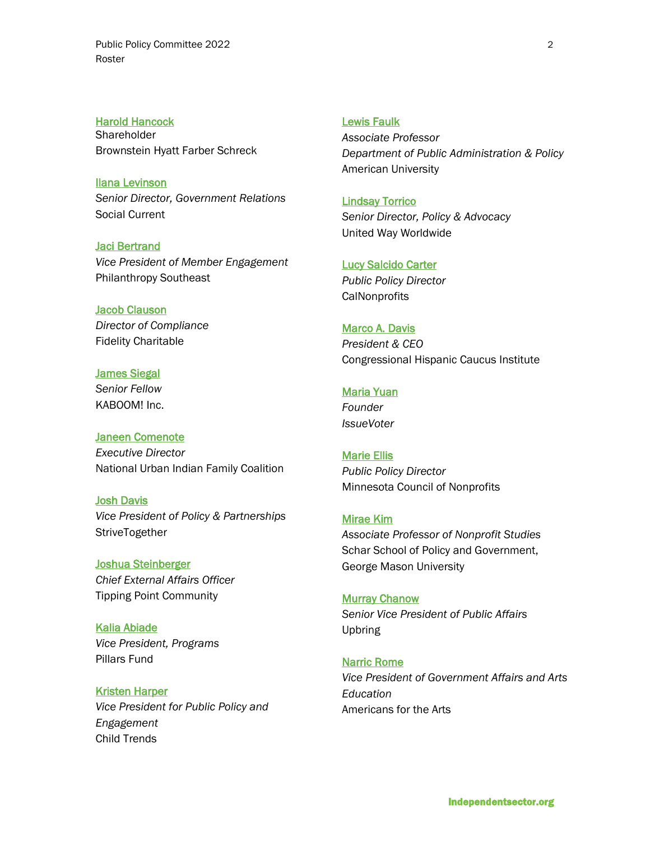[Harold Hancock](https://www.bhfs.com/people/attorneys/g-k/harold-hancock) **Shareholder** Brownstein Hyatt Farber Schreck

[Ilana Levinson](https://www.social-current.org/about/leadership-board/) *Senior Director, Government Relations* Social Current

[Jaci Bertrand](https://www.secf.org/ABOUT/Staff/Jaci#:~:text=Jaci%20guides%20the%20Southeastern%20Council,for%20SECF) *Vice President of Member Engagement* Philanthropy Southeast

**[Jacob Clauson](https://igsymposium.org/speakers/jacob-clauson/)** *Director of Compliance* Fidelity Charitable

**[James Siegal](https://kaboom.org/about/staff)** *Senior Fellow* KABOOM! Inc.

[Janeen Comenote](https://www.nuifc.org/staff) *Executive Director* National Urban Indian Family Coalition

[Josh Davis](https://www.strivetogether.org/insights/team/josh-davis/) *Vice President of Policy & Partnerships* **StriveTogether** 

[Joshua Steinberger](https://tippingpoint.org/who-we-are/our-team) *Chief External Affairs Officer* Tipping Point Community

[Kalia Abiade](https://pillarsfund.org/about/our-team/) *Vice President, Programs* Pillars Fund

[Kristen Harper](https://www.childtrends.org/staff/kristen-harper) *Vice President for Public Policy and Engagement* Child Trends

# [Lewis Faulk](https://www.american.edu/spa/faculty/faulk.cfm)

*Associate Professor Department of Public Administration & Policy* American University

[Lindsay Torrico](https://www.unitedway.org/about/leadership/lindsay-torrico-1) *Senior Director, Policy & Advocacy* United Way Worldwide

[Lucy Salcido Carter](https://www.callutheran.edu/centers/nonprofit/who-we-are/profile.html?id=Lucy.SalcidoCarter) *Public Policy Director* **CalNonprofits** 

[Marco A. Davis](https://chci.org/staff-member/marco-a-davis-2/) *President & CEO* Congressional Hispanic Caucus Institute

[Maria Yuan](https://www.fearlesscommunicators.com/maria-yuan/) *Founder*

*IssueVoter*

[Marie Ellis](https://www.minnesotanonprofits.org/about-mcn/staff/marie-ellis) *Public Policy Director* Minnesota Council of Nonprofits

[Mirae Kim](https://miraekim.net/) *Associate Professor of Nonprofit Studies* Schar School of Policy and Government, George Mason University

[Murray Chanow](https://upbring.org/teammembers/murray-chanow/) *Senior Vice President of Public Affairs* Upbring

[Narric Rome](https://www.americansforthearts.org/about-americans-for-the-arts/staff/narric-w-rome) *Vice President of Government Affairs and Arts Education* Americans for the Arts